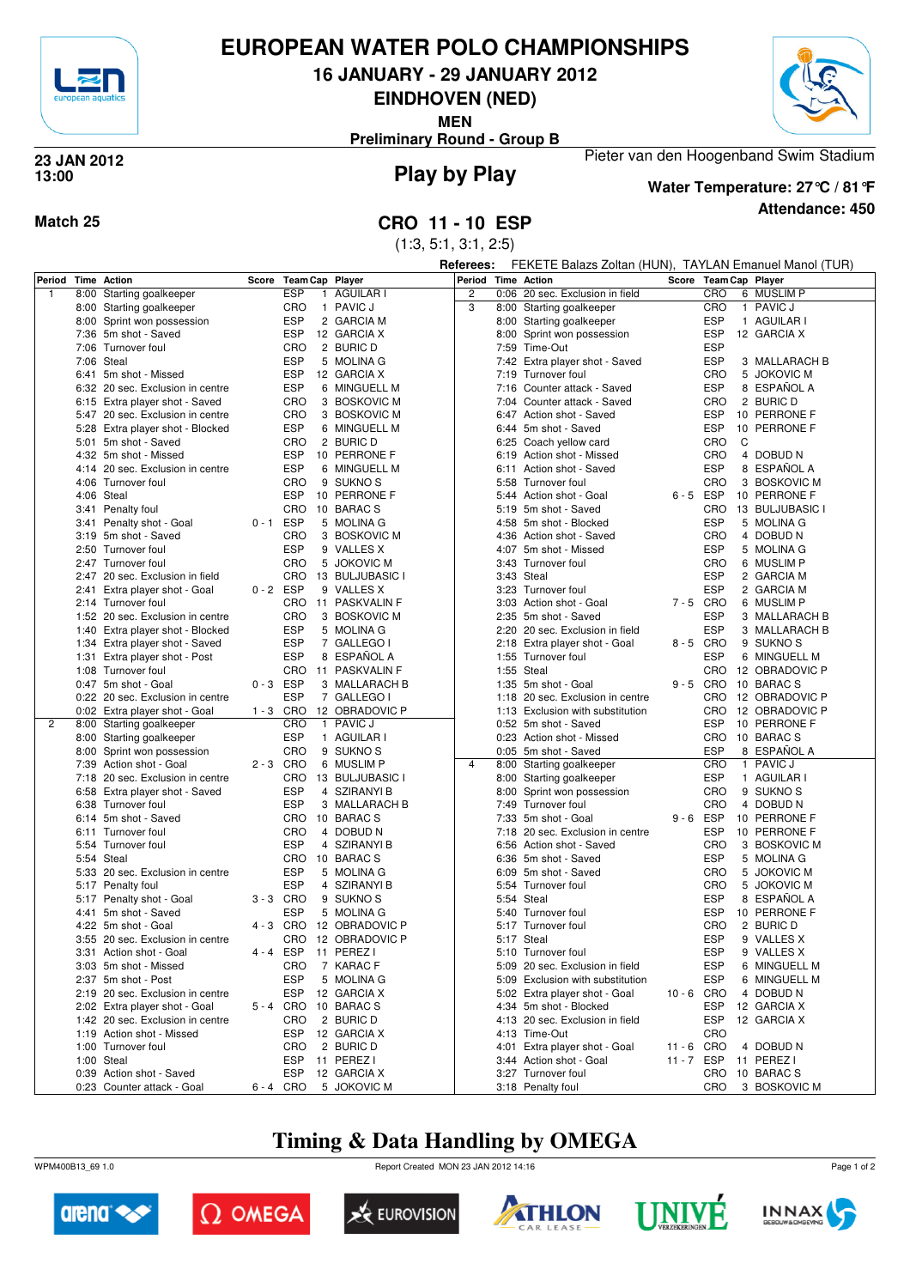

# **EUROPEAN WATER POLO CHAMPIONSHIPS**

**16 JANUARY - 29 JANUARY 2012**

**EINDHOVEN (NED)**

**MEN**

**Preliminary Round - Group B**



## **Play by Play 23 JAN 2012 13:00**



## **Attendance: 450 Water Temperature: 27°C / 81°F**

Pieter van den Hoogenband Swim Stadium

(1:3, 5:1, 3:1, 2:5)

**Referees:** FEKETE Balazs Zoltan (HUN), TAYLAN Emanuel Manol (TUR)

| Period         |      | <b>Time Action</b>               | Score       | <b>Team Cap Player</b> |                      | Period         |            | <b>Time Action</b>               | Score       | Team Cap Player |                      |
|----------------|------|----------------------------------|-------------|------------------------|----------------------|----------------|------------|----------------------------------|-------------|-----------------|----------------------|
| $\mathbf{1}$   |      | 8:00 Starting goalkeeper         |             | <b>ESP</b><br>1        | AGUILAR I            | $\overline{2}$ |            | 0:06 20 sec. Exclusion in field  |             | CRO             | 6 MUSLIM P           |
|                |      | 8:00 Starting goalkeeper         |             | <b>CRO</b>             | 1 PAVIC J            | 3              |            | 8:00 Starting goalkeeper         |             | CRO             | 1 PAVIC J            |
|                |      | 8:00 Sprint won possession       |             | <b>ESP</b>             | 2 GARCIA M           |                |            | 8:00 Starting goalkeeper         |             | <b>ESP</b>      | 1 AGUILAR I          |
|                |      | 7:36 5m shot - Saved             |             | <b>ESP</b>             | 12 GARCIA X          |                |            | 8:00 Sprint won possession       |             | <b>ESP</b>      | 12 GARCIA X          |
|                |      | 7:06 Turnover foul               |             | CRO                    | 2 BURIC D            |                |            | 7:59 Time-Out                    |             | <b>ESP</b>      |                      |
|                |      | 7:06 Steal                       |             | <b>ESP</b>             | 5 MOLINA G           |                |            |                                  |             | <b>ESP</b>      | 3 MALLARACH B        |
|                |      |                                  |             |                        |                      |                |            | 7:42 Extra player shot - Saved   |             |                 |                      |
|                |      | 6:41 5m shot - Missed            |             | <b>ESP</b>             | 12 GARCIA X          |                |            | 7:19 Turnover foul               |             | <b>CRO</b>      | 5 JOKOVIC M          |
|                |      | 6:32 20 sec. Exclusion in centre |             | <b>ESP</b>             | 6 MINGUELL M         |                |            | 7:16 Counter attack - Saved      |             | <b>ESP</b>      | 8 ESPAÑOL A          |
|                |      | 6:15 Extra player shot - Saved   |             | CRO                    | 3 BOSKOVIC M         |                |            | 7:04 Counter attack - Saved      |             | <b>CRO</b>      | 2 BURIC D            |
|                |      | 5:47 20 sec. Exclusion in centre |             | CRO                    | 3 BOSKOVIC M         |                |            | 6:47 Action shot - Saved         |             | <b>ESP</b>      | 10 PERRONE F         |
|                |      | 5:28 Extra player shot - Blocked |             | <b>ESP</b>             | 6 MINGUELL M         |                |            | 6:44 5m shot - Saved             |             | <b>ESP</b>      | 10 PERRONE F         |
|                | 5:01 | 5m shot - Saved                  |             | CRO                    | 2 BURIC D            |                |            | 6:25 Coach yellow card           |             | CRO<br>C        |                      |
|                |      | 4:32 5m shot - Missed            |             | <b>ESP</b>             | 10 PERRONE F         |                |            | 6:19 Action shot - Missed        |             | <b>CRO</b>      | 4 DOBUD N            |
|                |      | 4:14 20 sec. Exclusion in centre |             | <b>ESP</b>             | 6 MINGUELL M         |                | 6:11       | Action shot - Saved              |             | <b>ESP</b>      | 8 ESPAÑOL A          |
|                |      | 4:06 Turnover foul               |             | <b>CRO</b>             | 9 SUKNO <sub>S</sub> |                |            | 5:58 Turnover foul               |             | CRO             | 3 BOSKOVIC M         |
|                |      | 4:06 Steal                       |             | <b>ESP</b>             | 10 PERRONE F         |                |            | 5:44 Action shot - Goal          | 6-5 ESP     |                 | 10 PERRONE F         |
|                |      |                                  |             | CRO                    |                      |                |            | 5:19 5m shot - Saved             |             |                 |                      |
|                |      | 3:41 Penalty foul                |             |                        | 10 BARACS            |                |            |                                  |             | CRO             | 13 BULJUBASIC I      |
|                |      | 3:41 Penalty shot - Goal         | $0 - 1$ ESP |                        | 5 MOLINA G           |                |            | 4:58 5m shot - Blocked           |             | <b>ESP</b>      | 5 MOLINA G           |
|                |      | 3:19 5m shot - Saved             |             | CRO                    | 3 BOSKOVIC M         |                |            | 4:36 Action shot - Saved         |             | <b>CRO</b>      | 4 DOBUD N            |
|                |      | 2:50 Turnover foul               |             | <b>ESP</b>             | 9 VALLES X           |                |            | 4:07 5m shot - Missed            |             | <b>ESP</b>      | 5 MOLINA G           |
|                |      | 2:47 Turnover foul               |             | CRO                    | 5 JOKOVIC M          |                |            | 3:43 Turnover foul               |             | <b>CRO</b>      | 6 MUSLIM P           |
|                |      | 2:47 20 sec. Exclusion in field  |             | <b>CRO</b>             | 13 BULJUBASIC I      |                | 3:43 Steal |                                  |             | <b>ESP</b>      | 2 GARCIA M           |
|                |      | 2:41 Extra player shot - Goal    | $0 - 2$ ESP |                        | 9 VALLES X           |                |            | 3:23 Turnover foul               |             | <b>ESP</b>      | 2 GARCIA M           |
|                |      | 2:14 Turnover foul               |             | <b>CRO</b>             | 11 PASKVALIN F       |                |            | 3:03 Action shot - Goal          | 7-5 CRO     |                 | 6 MUSLIM P           |
|                |      | 1:52 20 sec. Exclusion in centre |             | CRO                    | 3 BOSKOVIC M         |                |            | 2:35 5m shot - Saved             |             | <b>ESP</b>      | 3 MALLARACH B        |
|                |      | 1:40 Extra player shot - Blocked |             | <b>ESP</b>             | 5 MOLINA G           |                |            | 2:20 20 sec. Exclusion in field  |             | <b>ESP</b>      | 3 MALLARACH B        |
|                |      |                                  |             |                        |                      |                |            |                                  |             |                 |                      |
|                |      | 1:34 Extra player shot - Saved   |             | <b>ESP</b>             | 7 GALLEGO I          |                |            | 2:18 Extra player shot - Goal    | 8-5 CRO     |                 | 9 SUKNO <sub>S</sub> |
|                |      | 1:31 Extra player shot - Post    |             | <b>ESP</b>             | 8 ESPAÑOL A          |                |            | 1:55 Turnover foul               |             | <b>ESP</b>      | 6 MINGUELL M         |
|                |      | 1:08 Turnover foul               |             | CRO                    | 11 PASKVALIN F       |                | 1:55 Steal |                                  |             | CRO             | 12 OBRADOVIC P       |
|                |      | 0:47 5m shot - Goal              | $0 - 3$ ESP |                        | 3 MALLARACH B        |                |            | 1:35 5m shot - Goal              | 9-5 CRO     |                 | 10 BARAC S           |
|                |      | 0:22 20 sec. Exclusion in centre |             | <b>ESP</b>             | 7 GALLEGO I          |                |            | 1:18 20 sec. Exclusion in centre |             | <b>CRO</b>      | 12 OBRADOVIC P       |
|                |      | 0:02 Extra player shot - Goal    | $1 - 3$ CRO |                        | 12 OBRADOVIC P       |                |            | 1:13 Exclusion with substitution |             | CRO             | 12 OBRADOVIC P       |
| $\overline{2}$ |      | 8:00 Starting goalkeeper         |             | CRO<br>$\mathbf{1}$    | <b>PAVIC J</b>       |                |            | 0:52 5m shot - Saved             |             | <b>ESP</b>      | 10 PERRONE F         |
|                |      | 8:00 Starting goalkeeper         |             | <b>ESP</b>             | 1 AGUILAR I          |                |            | 0:23 Action shot - Missed        |             | CRO             | 10 BARAC S           |
|                | 8:00 | Sprint won possession            |             | CRO                    | 9 SUKNO <sub>S</sub> |                |            | 0:05 5m shot - Saved             |             | <b>ESP</b>      | 8 ESPAÑOL A          |
|                |      | 7:39 Action shot - Goal          | 2-3 CRO     |                        | 6 MUSLIM P           | 4              |            | 8:00 Starting goalkeeper         |             | <b>CRO</b>      | 1 PAVIC J            |
|                |      | 7:18 20 sec. Exclusion in centre |             | <b>CRO</b>             | 13 BULJUBASIC I      |                |            |                                  |             | <b>ESP</b>      | 1 AGUILAR I          |
|                |      |                                  |             |                        |                      |                |            | 8:00 Starting goalkeeper         |             |                 |                      |
|                |      | 6:58 Extra player shot - Saved   |             | <b>ESP</b>             | 4 SZIRANYI B         |                | 8:00       | Sprint won possession            |             | CRO             | 9 SUKNO <sub>S</sub> |
|                |      | 6:38 Turnover foul               |             | <b>ESP</b>             | 3 MALLARACH B        |                |            | 7:49 Turnover foul               |             | CRO             | 4 DOBUD N            |
|                |      | 6:14 5m shot - Saved             |             | CRO                    | 10 BARAC S           |                |            | 7:33 5m shot - Goal              | $9 - 6$ ESP |                 | 10 PERRONE F         |
|                |      | 6:11 Turnover foul               |             | CRO                    | 4 DOBUD N            |                |            | 7:18 20 sec. Exclusion in centre |             | <b>ESP</b>      | 10 PERRONE F         |
|                |      | 5:54 Turnover foul               |             | <b>ESP</b>             | 4 SZIRANYI B         |                |            | 6:56 Action shot - Saved         |             | <b>CRO</b>      | 3 BOSKOVIC M         |
|                |      | 5:54 Steal                       |             | <b>CRO</b>             | 10 BARACS            |                |            | 6:36 5m shot - Saved             |             | <b>ESP</b>      | 5 MOLINA G           |
|                |      | 5:33 20 sec. Exclusion in centre |             | <b>ESP</b>             | 5 MOLINA G           |                | 6:09       | 5m shot - Saved                  |             | CRO             | 5 JOKOVIC M          |
|                |      | 5:17 Penalty foul                |             | <b>ESP</b>             | 4 SZIRANYI B         |                |            | 5:54 Turnover foul               |             | <b>CRO</b>      | 5 JOKOVIC M          |
|                |      | 5:17 Penalty shot - Goal         | $3 - 3$ CRO |                        | 9 SUKNO <sub>S</sub> |                | 5:54 Steal |                                  |             | <b>ESP</b>      | 8 ESPAÑOL A          |
|                |      | 4:41 5m shot - Saved             |             | <b>ESP</b>             | 5 MOLINA G           |                |            | 5:40 Turnover foul               |             | <b>ESP</b>      | 10 PERRONE F         |
|                |      | 4:22 5m shot - Goal              | 4-3 CRO     |                        | 12 OBRADOVIC P       |                |            | 5:17 Turnover foul               |             | <b>CRO</b>      | 2 BURIC D            |
|                |      |                                  |             |                        |                      |                |            |                                  |             |                 |                      |
|                |      | 3:55 20 sec. Exclusion in centre |             | <b>CRO</b>             | 12 OBRADOVIC P       |                |            | 5:17 Steal                       |             | <b>ESP</b>      | 9 VALLES X           |
|                |      | 3:31 Action shot - Goal          | $4 - 4$     | <b>ESP</b>             | 11 PEREZ I           |                |            | 5:10 Turnover foul               |             | <b>ESP</b>      | 9 VALLES X           |
|                |      | 3:03 5m shot - Missed            |             | CRO                    | 7 KARAC F            |                |            | 5:09 20 sec. Exclusion in field  |             | ESP             | 6 MINGUELL M         |
|                |      | 2:37 5m shot - Post              |             | ESP                    | 5 MOLINA G           |                |            | 5:09 Exclusion with substitution |             | ESP             | 6 MINGUELL M         |
|                |      | 2:19 20 sec. Exclusion in centre |             | ESP                    | 12 GARCIA X          |                |            | 5:02 Extra player shot - Goal    | 10-6 CRO    |                 | 4 DOBUD N            |
|                |      | 2:02 Extra player shot - Goal    | 5-4 CRO     |                        | 10 BARACS            |                |            | 4:34 5m shot - Blocked           |             | <b>ESP</b>      | 12 GARCIA X          |
|                |      | 1:42 20 sec. Exclusion in centre |             | CRO                    | 2 BURIC D            |                |            | 4:13 20 sec. Exclusion in field  |             | <b>ESP</b>      | 12 GARCIA X          |
|                |      | 1:19 Action shot - Missed        |             | <b>ESP</b>             | 12 GARCIA X          |                |            | 4:13 Time-Out                    |             | CRO             |                      |
|                |      | 1:00 Turnover foul               |             | CRO                    | 2 BURIC D            |                |            | 4:01 Extra player shot - Goal    | 11-6 CRO    |                 | 4 DOBUD N            |
|                |      | 1:00 Steal                       |             | ESP                    | 11 PEREZ I           |                |            | 3:44 Action shot - Goal          | 11 - 7 ESP  |                 | 11 PEREZ I           |
|                |      |                                  |             |                        |                      |                |            |                                  |             |                 |                      |
|                |      | 0:39 Action shot - Saved         |             | ESP                    | 12 GARCIA X          |                |            | 3:27 Turnover foul               |             | CRO             | 10 BARACS            |
|                |      | 0:23 Counter attack - Goal       | 6-4 CRO     |                        | 5 JOKOVIC M          |                |            | 3:18 Penalty foul                |             | CRO             | 3 BOSKOVIC M         |

# **Timing & Data Handling by OMEGA**

WPM400B13\_69 1.0 Report Created MON 23 JAN 2012 14:16













Page 1 of 2